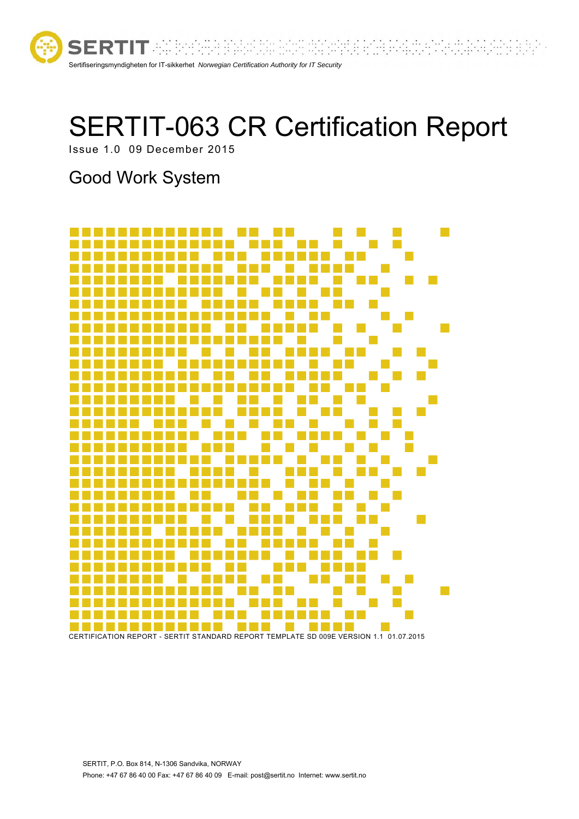

# SERTIT-063 CR Certification Report

 $\cdots$  :

rtra.C

lik

Issue 1.0 09 December 2015

# Good Work System

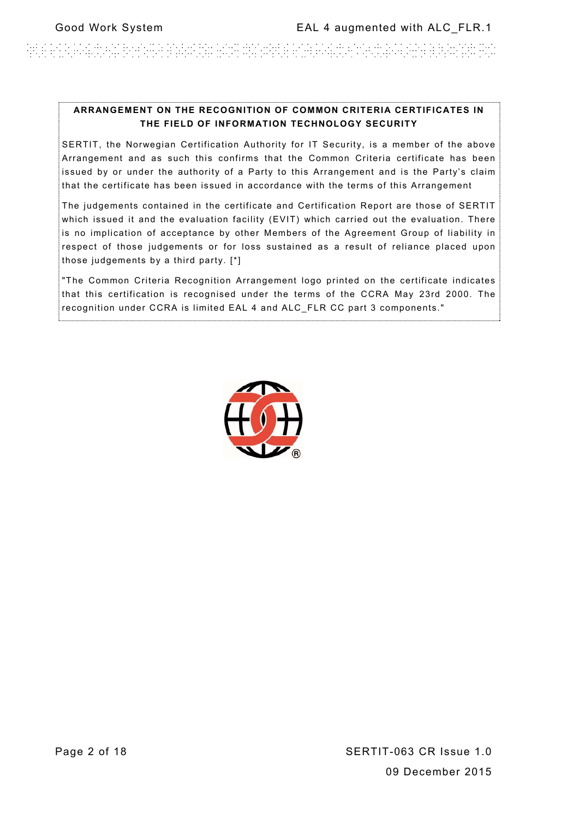en beelden blaten der einer dalen bij belangreichen als der besteht bij beschieden.

#### **ARRANGEMENT ON THE RECOGNITION OF COMMON CRITERIA CERTIFICATES IN THE FIELD OF INFORMATION TECHNOLOGY SECURITY**

SERTIT, the Norwegian Certification Authority for IT Security, is a member of the above Arrangement and as such this confirms that the Common Criteria certificate has been issued by or under the authority of a Party to this Arrangement and is the Party's claim that the certificate has been issued in accordance with the terms of this Arrangement

The judgements contained in the certificate and Certification Report are those of SERTIT which issued it and the evaluation facility (EVIT) which carried out the evaluation. There is no implication of acceptance by other Members of the Agreement Group of liability in respect of those judgements or for loss sustained as a result of reliance placed upon those judgements by a third party. [\*]

"The Common Criteria Recognition Arrangement logo printed on the certificate indicates that this certification is recognised under the terms of the CCRA May 23rd 2000. The recognition under CCRA is limited EAL 4 and ALC\_FLR CC part 3 components."

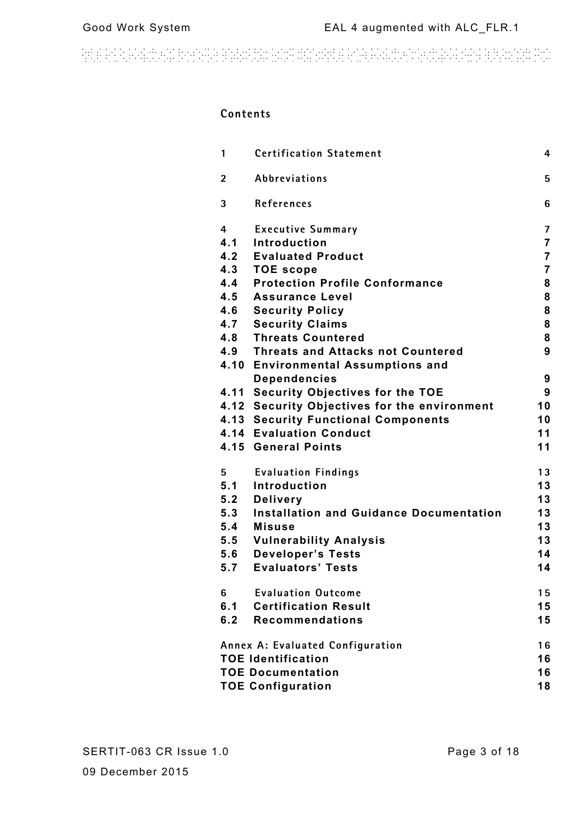and an actual property and the sign distributed and actual construction of the second and actual pro

### **Contents**

| 1                              | <b>Certification Statement</b>               | 4              |
|--------------------------------|----------------------------------------------|----------------|
| $\overline{2}$                 | Abbreviations                                | 5              |
| 3                              | References                                   | 6              |
| 4                              | <b>Executive Summary</b>                     | $\overline{7}$ |
|                                | 4.1 Introduction                             | $\overline{7}$ |
|                                | 4.2 Evaluated Product                        | $\overline{7}$ |
|                                | 4.3 TOE scope                                | $\overline{7}$ |
|                                | 4.4 Protection Profile Conformance           | 8              |
|                                | 4.5 Assurance Level                          | 8              |
| 4.6                            | <b>Security Policy</b>                       | 8              |
|                                | <b>4.7 Security Claims</b>                   | 8              |
|                                | 4.8 Threats Countered                        | 8              |
|                                | 4.9 Threats and Attacks not Countered        | 9              |
|                                | 4.10 Environmental Assumptions and           |                |
|                                | <b>Dependencies</b>                          | 9              |
|                                | 4.11 Security Objectives for the TOE         | 9              |
|                                | 4.12 Security Objectives for the environment | 10             |
|                                | <b>4.13 Security Functional Components</b>   | 10             |
|                                | <b>4.14 Evaluation Conduct</b>               | 11             |
|                                | 4.15 General Points                          | 11             |
| 5                              | <b>Evaluation Findings</b>                   | 13             |
| 5.1                            | Introduction                                 | 13             |
|                                | 5.2 Delivery                                 | 13             |
|                                | 5.3 Installation and Guidance Documentation  | 13             |
|                                | 5.4 Misuse                                   | 13             |
|                                | 5.5 Vulnerability Analysis                   | 13             |
|                                | 5.6 Developer's Tests                        | 14             |
|                                | 5.7 Evaluators' Tests                        | 14             |
| 6                              | <b>Evaluation Outcome</b>                    | 15             |
| 6.1                            | <b>Certification Result</b>                  | 15             |
|                                | 6.2 Recommendations                          | 15             |
|                                | Annex A: Evaluated Configuration             | 16             |
| <b>TOE Identification</b>      |                                              |                |
| <b>TOE Documentation</b><br>16 |                                              |                |
| <b>TOE Configuration</b><br>18 |                                              |                |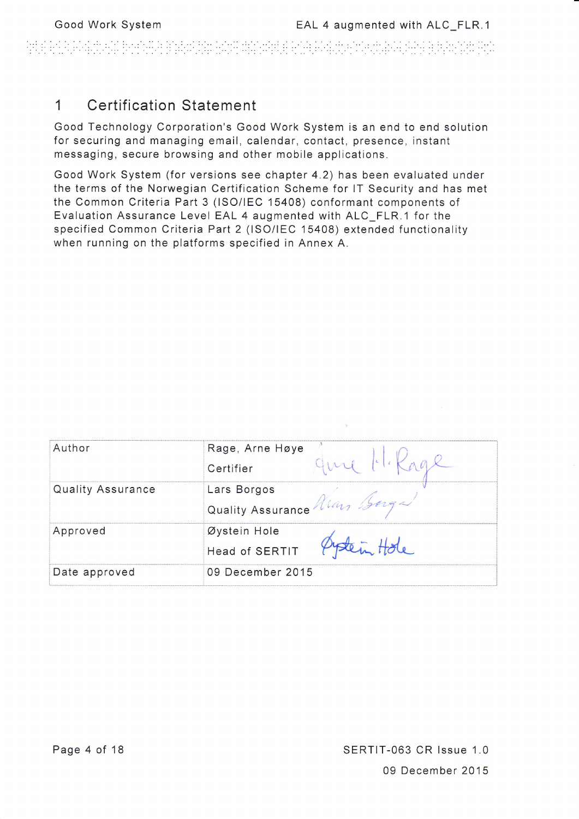an na mara 40 km koli je teolog bio jednje dobila je prime po slutn

### 1 Certification Statement

Good Technology Corporation's Good Work System is an end to end solution for securing and managing email, calendar, contact, presence, instant messaging, secure browsing and other mobile applications.

Good Work System (for versions see chapter 4.2) has been evaluated under the terms of the Norwegian Certification Scheme for lT Security and has met the Common Criteria Part 3 (lSO/lEC 15408) conformant components of Evaluation Assurance Level EAL 4 augmented with ALC\_FLR.1 for the specified Common Criteria Part 2 (lSO/lEC 15408) extended functionality when running on the platforms specified in Annex A.

| Author            | Rage, Arne Høye<br>Certifier              |
|-------------------|-------------------------------------------|
| Quality Assurance | Lars Borgos<br>Quality Assurance Man 150g |
| Approved          | Øystein Hole<br>Head of SERTIT            |
| Date approved     | 09 December 2015                          |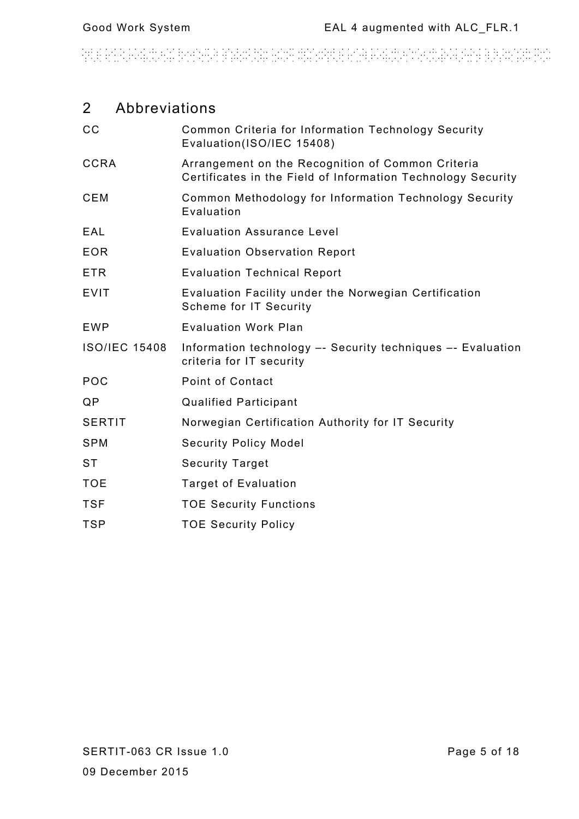# and an actual property and the sign distributed and actual construction of the second and actual pro

### 2 Abbreviations

| cc                   | Common Criteria for Information Technology Security<br>Evaluation(ISO/IEC 15408)                                  |
|----------------------|-------------------------------------------------------------------------------------------------------------------|
| <b>CCRA</b>          | Arrangement on the Recognition of Common Criteria<br>Certificates in the Field of Information Technology Security |
| <b>CEM</b>           | Common Methodology for Information Technology Security<br>Evaluation                                              |
| EAL                  | <b>Evaluation Assurance Level</b>                                                                                 |
| <b>EOR</b>           | <b>Evaluation Observation Report</b>                                                                              |
| <b>ETR</b>           | <b>Evaluation Technical Report</b>                                                                                |
| <b>EVIT</b>          | Evaluation Facility under the Norwegian Certification<br><b>Scheme for IT Security</b>                            |
| <b>EWP</b>           | <b>Evaluation Work Plan</b>                                                                                       |
| <b>ISO/IEC 15408</b> | Information technology -- Security techniques -- Evaluation<br>criteria for IT security                           |
| POC                  | Point of Contact                                                                                                  |
| QP                   | <b>Qualified Participant</b>                                                                                      |
| <b>SERTIT</b>        | Norwegian Certification Authority for IT Security                                                                 |
| <b>SPM</b>           | <b>Security Policy Model</b>                                                                                      |
| <b>ST</b>            | <b>Security Target</b>                                                                                            |
| <b>TOE</b>           | <b>Target of Evaluation</b>                                                                                       |
| <b>TSF</b>           | <b>TOE Security Functions</b>                                                                                     |
| <b>TSP</b>           | <b>TOE Security Policy</b>                                                                                        |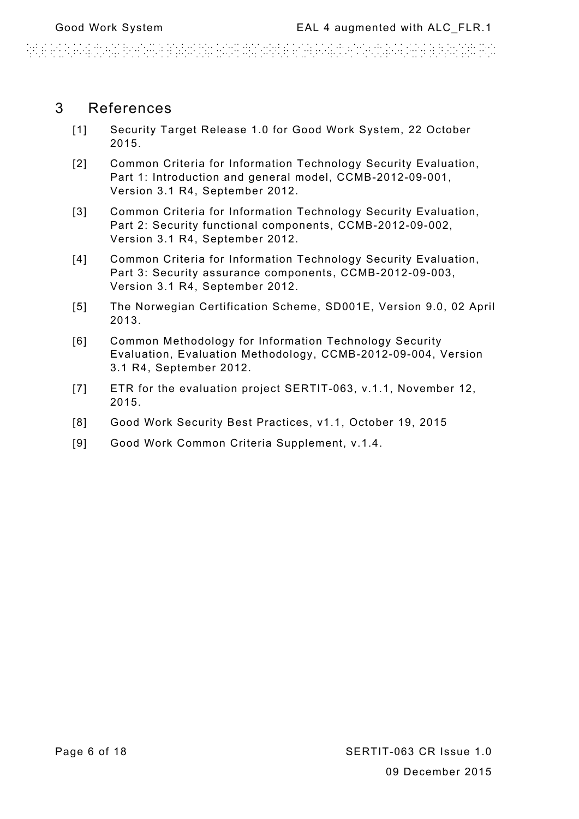### 3 References

- [1] Security Target Release 1.0 for Good Work System, 22 October 2015.
- [2] Common Criteria for Information Technology Security Evaluation, Part 1: Introduction and general model, CCMB-2012-09-001, Version 3.1 R4, September 2012.
- [3] Common Criteria for Information Technology Security Evaluation, Part 2: Security functional components, CCMB-2012-09-002, Version 3.1 R4, September 2012.
- [4] Common Criteria for Information Technology Security Evaluation, Part 3: Security assurance components, CCMB-2012-09-003, Version 3.1 R4, September 2012.
- [5] The Norwegian Certification Scheme, SD001E, Version 9.0, 02 April 2013.
- [6] Common Methodology for Information Technology Security Evaluation, Evaluation Methodology, CCMB-2012-09-004, Version 3.1 R4, September 2012.
- [7] ETR for the evaluation project SERTIT-063, v.1.1, November 12, 2015.
- [8] Good Work Security Best Practices, v1.1, October 19, 2015
- [9] Good Work Common Criteria Supplement, v.1.4.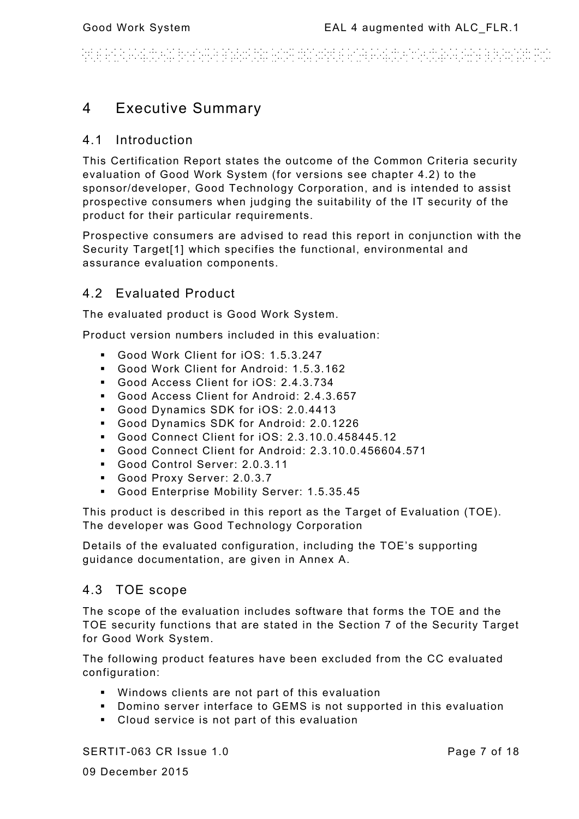#### WHATRAWAY BENGANIA inin artista (f. 1914).<br>2011 - André Marie Marie Marie (f. 1914).

### 4 Executive Summary

### 4.1 Introduction

This Certification Report states the outcome of the Common Criteria security evaluation of Good Work System (for versions see chapter 4.2) to the sponsor/developer, Good Technology Corporation, and is intended to assist prospective consumers when judging the suitability of the IT security of the product for their particular requirements.

Prospective consumers are advised to read this report in conjunction with the Security Target[1] which specifies the functional, environmental and assurance evaluation components.

### 4.2 Evaluated Product

The evaluated product is Good Work System.

Product version numbers included in this evaluation:

- Good Work Client for iOS: 1.5.3.247
- Good Work Client for Android: 1.5.3.162
- Good Access Client for iOS: 2.4.3.734
- Good Access Client for Android: 2.4.3.657
- Good Dynamics SDK for iOS: 2.0.4413
- Good Dynamics SDK for Android: 2.0.1226
- Good Connect Client for iOS: 2.3.10.0.458445.12
- Good Connect Client for Android: 2.3.10.0.456604.571
- Good Control Server: 2.0.3.11
- Good Proxy Server: 2.0.3.7
- Good Enterprise Mobility Server: 1.5.35.45

This product is described in this report as the Target of Evaluation (TOE). The developer was Good Technology Corporation

Details of the evaluated configuration, including the TOE's supporting guidance documentation, are given in Annex A.

#### 4.3 TOE scope

The scope of the evaluation includes software that forms the TOE and the TOE security functions that are stated in the Section 7 of the Security Target for Good Work System.

The following product features have been excluded from the CC evaluated configuration:

- Windows clients are not part of this evaluation
- Domino server interface to GEMS is not supported in this evaluation
- Cloud service is not part of this evaluation

SERTIT-063 CR Issue 1.0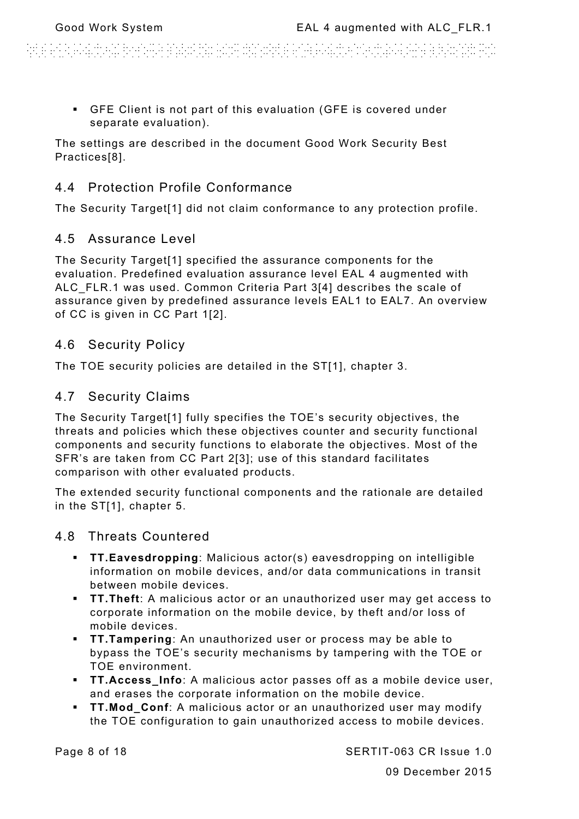di antica della contenta di attendare dell'altra della acceptazione di attenda di di attenda della contenta di

 GFE Client is not part of this evaluation (GFE is covered under separate evaluation).

The settings are described in the document Good Work Security Best Practices[8].

### 4.4 Protection Profile Conformance

The Security Target[1] did not claim conformance to any protection profile.

### 4.5 Assurance Level

The Security Target[1] specified the assurance components for the evaluation. Predefined evaluation assurance level EAL 4 augmented with ALC FLR.1 was used. Common Criteria Part 3[4] describes the scale of assurance given by predefined assurance levels EAL1 to EAL7. An overview of CC is given in CC Part 1[2].

### 4.6 Security Policy

The TOE security policies are detailed in the ST[1], chapter 3.

### 4.7 Security Claims

The Security Target[1] fully specifies the TOE's security objectives, the threats and policies which these objectives counter and security functional components and security functions to elaborate the objectives. Most of the SFR's are taken from CC Part 2[3]; use of this standard facilitates comparison with other evaluated products.

The extended security functional components and the rationale are detailed in the ST[1], chapter 5.

### 4.8 Threats Countered

- **TT.Eavesdropping**: Malicious actor(s) eavesdropping on intelligible information on mobile devices, and/or data communications in transit between mobile devices.
- **TT.Theft**: A malicious actor or an unauthorized user may get access to corporate information on the mobile device, by theft and/or loss of mobile devices.
- **TT.Tampering**: An unauthorized user or process may be able to bypass the TOE's security mechanisms by tampering with the TOE or TOE environment.
- **TT.Access\_Info**: A malicious actor passes off as a mobile device user, and erases the corporate information on the mobile device.
- **TT.Mod\_Conf**: A malicious actor or an unauthorized user may modify the TOE configuration to gain unauthorized access to mobile devices.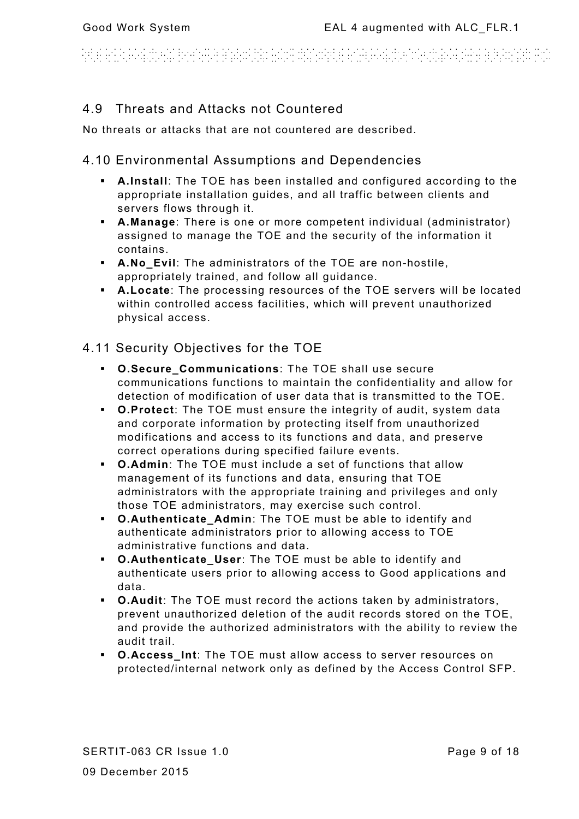# ARE AN A COMPACT FOR CHAR TO SHOW THE CONTROL AND CONTROL CONTROL CONTROL.

### 4.9 Threats and Attacks not Countered

No threats or attacks that are not countered are described.

### 4.10 Environmental Assumptions and Dependencies

- **A.Install**: The TOE has been installed and configured according to the appropriate installation guides, and all traffic between clients and servers flows through it.
- **A.Manage**: There is one or more competent individual (administrator) assigned to manage the TOE and the security of the information it contains.
- **A.No\_Evil**: The administrators of the TOE are non-hostile, appropriately trained, and follow all guidance.
- **A.Locate**: The processing resources of the TOE servers will be located within controlled access facilities, which will prevent unauthorized physical access.

### 4.11 Security Objectives for the TOE

- **C.Secure Communications: The TOE shall use secure** communications functions to maintain the confidentiality and allow for detection of modification of user data that is transmitted to the TOE.
- **O.Protect**: The TOE must ensure the integrity of audit, system data and corporate information by protecting itself from unauthorized modifications and access to its functions and data, and preserve correct operations during specified failure events.
- **O.Admin**: The TOE must include a set of functions that allow management of its functions and data, ensuring that TOE administrators with the appropriate training and privileges and only those TOE administrators, may exercise such control.
- **O.Authenticate\_Admin**: The TOE must be able to identify and authenticate administrators prior to allowing access to TOE administrative functions and data.
- **O.Authenticate User:** The TOE must be able to identify and authenticate users prior to allowing access to Good applications and data.
- **O.Audit**: The TOE must record the actions taken by administrators, prevent unauthorized deletion of the audit records stored on the TOE, and provide the authorized administrators with the ability to review the audit trail.
- **O.Access\_Int**: The TOE must allow access to server resources on protected/internal network only as defined by the Access Control SFP.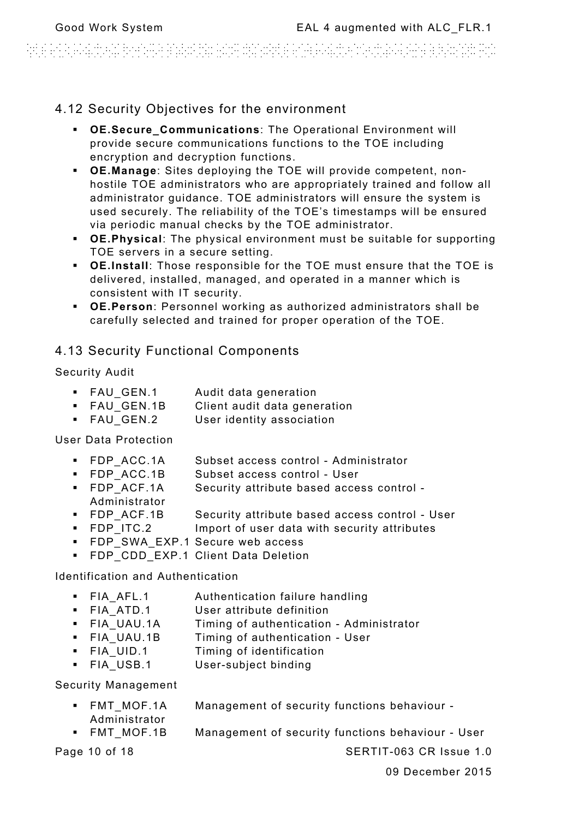isi ari bilang dan berbata atasan penganjangan atas atas ang anggot panggalan ang pangangan pangang

### 4.12 Security Objectives for the environment

- **OE.Secure\_Communications**: The Operational Environment will provide secure communications functions to the TOE including encryption and decryption functions.
- **OE.Manage**: Sites deploying the TOE will provide competent, nonhostile TOE administrators who are appropriately trained and follow all administrator guidance. TOE administrators will ensure the system is used securely. The reliability of the TOE's timestamps will be ensured via periodic manual checks by the TOE administrator.
- **OE.Physical**: The physical environment must be suitable for supporting TOE servers in a secure setting.
- **OE.Install**: Those responsible for the TOE must ensure that the TOE is delivered, installed, managed, and operated in a manner which is consistent with IT security.
- **OE.Person**: Personnel working as authorized administrators shall be carefully selected and trained for proper operation of the TOE.

### 4.13 Security Functional Components

Security Audit

- **FAU GEN.1** Audit data generation
- **FAU GEN.1B** Client audit data generation
- **FAU GEN.2** User identity association

User Data Protection

- **FDP** ACC.1A Subset access control Administrator
- **FDP** ACC.1B Subset access control User
- FDP\_ACF.1A Security attribute based access control Administrator
- **FDP** ACF.1B Security attribute based access control User
- **FDP** ITC.2 Import of user data with security attributes
- FDP\_SWA\_EXP.1 Secure web access
- **FDP CDD EXP.1 Client Data Deletion**

Identification and Authentication

- **FIA AFL.1** Authentication failure handling
- **FIA ATD.1** User attribute definition
- **FIA UAU.1A** Timing of authentication Administrator
- **FIA UAU.1B** Timing of authentication User
- **FIA** UID.1 Timing of identification
- **FIA USB.1** User-subject binding

Security Management

- FMT\_MOF.1A Management of security functions behaviour Administrator
- FMT MOF.1B Management of security functions behaviour User

Page 10 of 18 SERTIT-063 CR Issue 1.0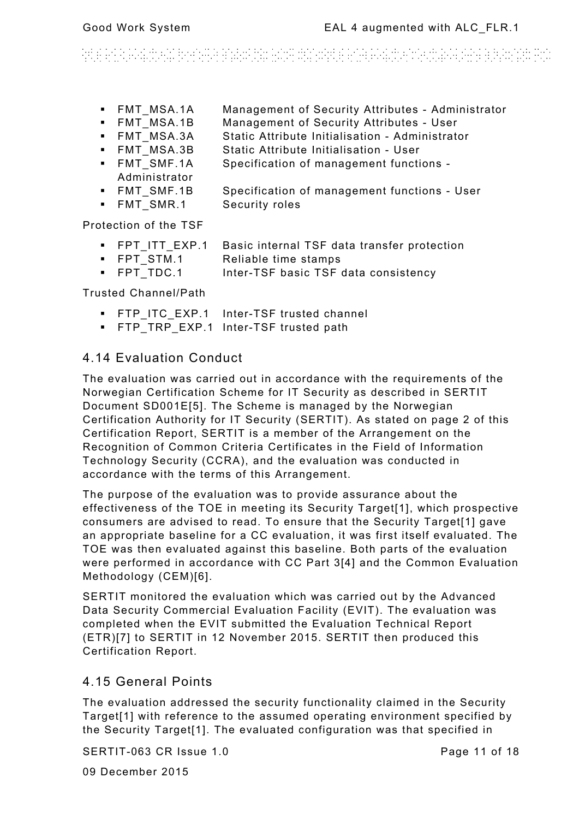# inter and the company resolution realistic company and a construction in a company of the resolution of the co<br>The company of the company of the company of the company of the company of the company of the company of the c

- **FMT MSA.1A Management of Security Attributes Administrator**
- **FMT MSA.1B Management of Security Attributes User**
- FMT\_MSA.3A Static Attribute Initialisation Administrator
- **FMT MSA.3B Static Attribute Initialisation User**
- FMT SMF.1A Specification of management functions -Administrator
- FMT SMF.1B Specification of management functions User
- **FMT SMR.1** Security roles

Protection of the TSF

- FPT\_ITT\_EXP.1 Basic internal TSF data transfer protection
- FPT STM.1 Reliable time stamps
- **FPT TDC.1** Inter-TSF basic TSF data consistency

Trusted Channel/Path

- **FTP\_ITC\_EXP.1 Inter-TSF trusted channel**
- FTP\_TRP\_EXP.1 Inter-TSF trusted path

### 4.14 Evaluation Conduct

The evaluation was carried out in accordance with the requirements of the Norwegian Certification Scheme for IT Security as described in SERTIT Document SD001E[5]. The Scheme is managed by the Norwegian Certification Authority for IT Security (SERTIT). As stated on page 2 of this Certification Report, SERTIT is a member of the Arrangement on the Recognition of Common Criteria Certificates in the Field of Information Technology Security (CCRA), and the evaluation was conducted in accordance with the terms of this Arrangement.

The purpose of the evaluation was to provide assurance about the effectiveness of the TOE in meeting its Security Target[1], which prospective consumers are advised to read. To ensure that the Security Target[1] gave an appropriate baseline for a CC evaluation, it was first itself evaluated. The TOE was then evaluated against this baseline. Both parts of the evaluation were performed in accordance with CC Part 3[4] and the Common Evaluation Methodology (CEM)[6].

SERTIT monitored the evaluation which was carried out by the Advanced Data Security Commercial Evaluation Facility (EVIT). The evaluation was completed when the EVIT submitted the Evaluation Technical Report (ETR)[7] to SERTIT in 12 November 2015. SERTIT then produced this Certification Report.

### 4.15 General Points

The evaluation addressed the security functionality claimed in the Security Target[1] with reference to the assumed operating environment specified by the Security Target[1]. The evaluated configuration was that specified in

SERTIT-063 CR Issue 1.0

Page 11 of 18

09 December 2015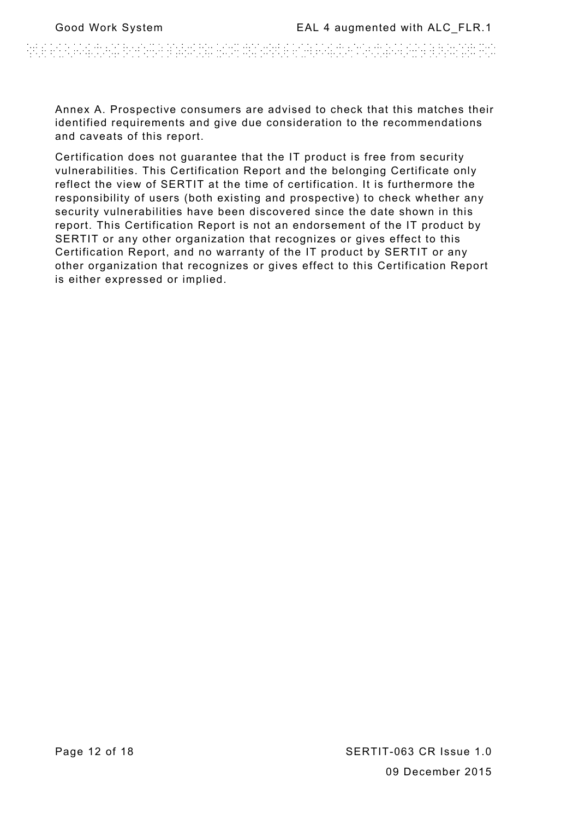Annex A. Prospective consumers are advised to check that this matches their identified requirements and give due consideration to the recommendations and caveats of this report.

Certification does not guarantee that the IT product is free from security vulnerabilities. This Certification Report and the belonging Certificate only reflect the view of SERTIT at the time of certification. It is furthermore the responsibility of users (both existing and prospective) to check whether any security vulnerabilities have been discovered since the date shown in this report. This Certification Report is not an endorsement of the IT product by SERTIT or any other organization that recognizes or gives effect to this Certification Report, and no warranty of the IT product by SERTIT or any other organization that recognizes or gives effect to this Certification Report is either expressed or implied.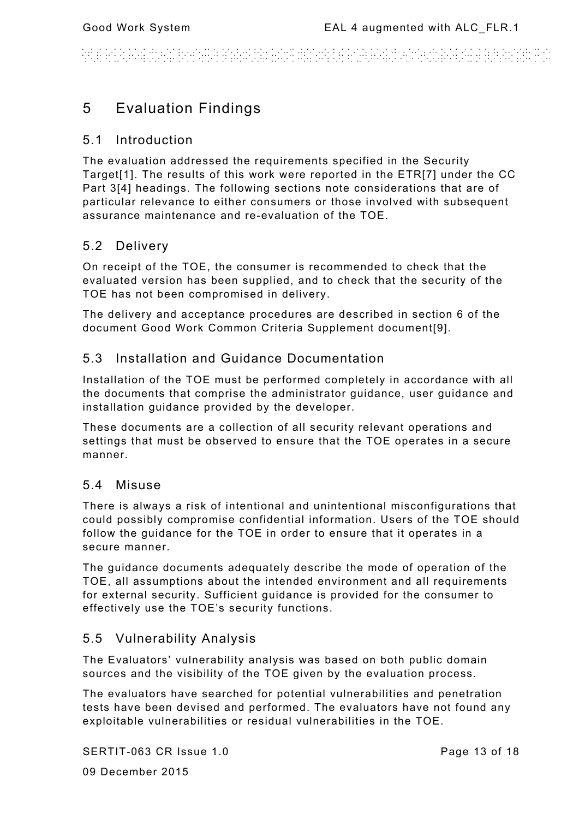#### n an an Antal Ang Palaban na nana na Banangan <u>en berjungs</u>

## 5 Evaluation Findings

### 5.1 Introduction

The evaluation addressed the requirements specified in the Security Target[1]. The results of this work were reported in the ETR[7] under the CC Part 3[4] headings. The following sections note considerations that are of particular relevance to either consumers or those involved with subsequent assurance maintenance and re-evaluation of the TOE.

### 5.2 Delivery

On receipt of the TOE, the consumer is recommended to check that the evaluated version has been supplied, and to check that the security of the TOE has not been compromised in delivery.

The delivery and acceptance procedures are described in section 6 of the document Good Work Common Criteria Supplement document[9].

### 5.3 Installation and Guidance Documentation

Installation of the TOE must be performed completely in accordance with all the documents that comprise the administrator guidance, user guidance and installation guidance provided by the developer.

These documents are a collection of all security relevant operations and settings that must be observed to ensure that the TOE operates in a secure manner.

### 5.4 Misuse

There is always a risk of intentional and unintentional misconfigurations that could possibly compromise confidential information. Users of the TOE should follow the guidance for the TOE in order to ensure that it operates in a secure manner.

The guidance documents adequately describe the mode of operation of the TOE, all assumptions about the intended environment and all requirements for external security. Sufficient guidance is provided for the consumer to effectively use the TOE's security functions.

### 5.5 Vulnerability Analysis

The Evaluators' vulnerability analysis was based on both public domain sources and the visibility of the TOE given by the evaluation process.

The evaluators have searched for potential vulnerabilities and penetration tests have been devised and performed. The evaluators have not found any exploitable vulnerabilities or residual vulnerabilities in the TOE.

SERTIT-063 CR Issue 1.0

Page 13 of 18

09 December 2015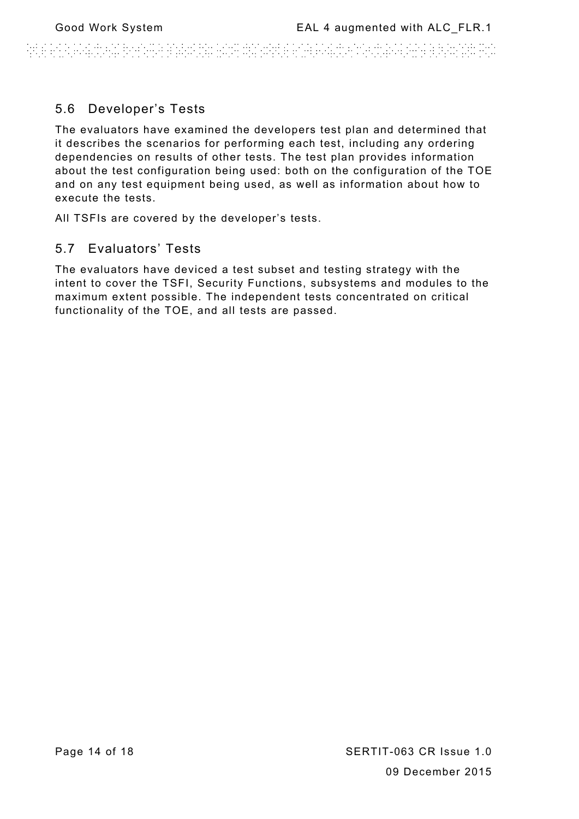### 5.6 Developer's Tests

The evaluators have examined the developers test plan and determined that it describes the scenarios for performing each test, including any ordering dependencies on results of other tests. The test plan provides information about the test configuration being used: both on the configuration of the TOE and on any test equipment being used, as well as information about how to execute the tests.

All TSFIs are covered by the developer's tests.

### 5.7 Evaluators' Tests

The evaluators have deviced a test subset and testing strategy with the intent to cover the TSFI, Security Functions, subsystems and modules to the maximum extent possible. The independent tests concentrated on critical functionality of the TOE, and all tests are passed.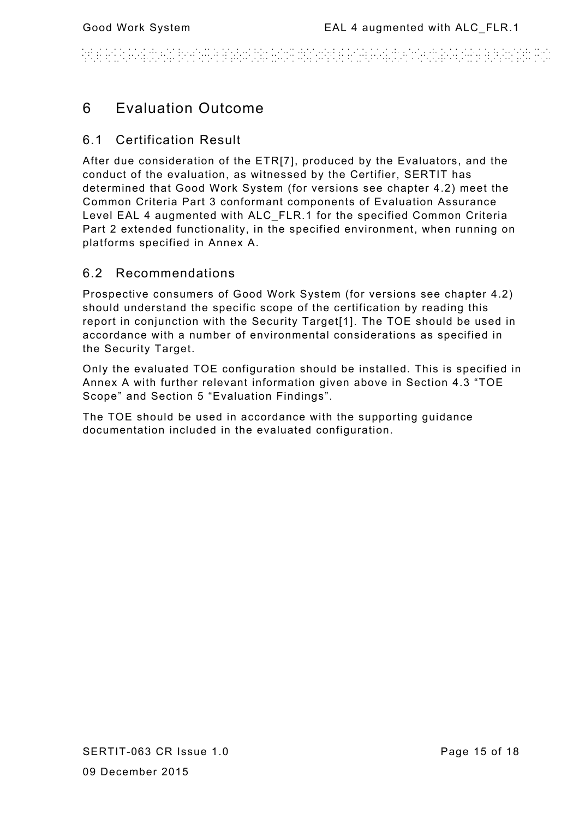#### WHATRAWAY BENGANIA n de san san sen de sen de la sena de la sena de la sena de la sena de la sena de la sena de la sena de la sen<br>Notas de la sena de la sena de la sena de la sena de la sena de la sena de la sena de la sena de la sena de la

# 6 Evaluation Outcome

### 6.1 Certification Result

After due consideration of the ETR[7], produced by the Evaluators, and the conduct of the evaluation, as witnessed by the Certifier, SERTIT has determined that Good Work System (for versions see chapter 4.2) meet the Common Criteria Part 3 conformant components of Evaluation Assurance Level EAL 4 augmented with ALC\_FLR.1 for the specified Common Criteria Part 2 extended functionality, in the specified environment, when running on platforms specified in Annex A.

### 6.2 Recommendations

Prospective consumers of Good Work System (for versions see chapter 4.2) should understand the specific scope of the certification by reading this report in conjunction with the Security Target[1]. The TOE should be used in accordance with a number of environmental considerations as specified in the Security Target.

Only the evaluated TOE configuration should be installed. This is specified in Annex A with further relevant information given above in Section 4.3 "TOE Scope" and Section 5 "Evaluation Findings".

The TOE should be used in accordance with the supporting guidance documentation included in the evaluated configuration.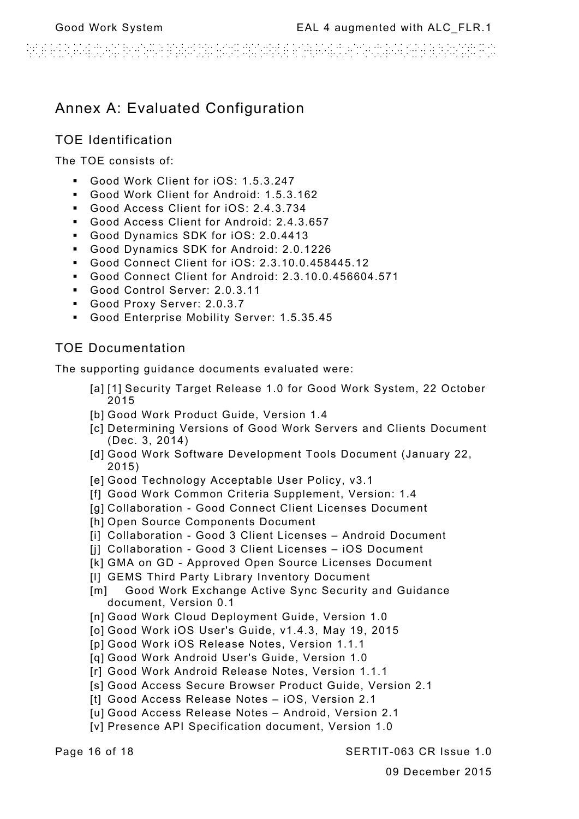### Annex A: Evaluated Configuration

### TOE Identification

The TOE consists of:

- Good Work Client for iOS: 1.5.3.247
- Good Work Client for Android: 1.5.3.162
- Good Access Client for iOS: 2.4.3.734
- Good Access Client for Android: 2.4.3.657
- Good Dynamics SDK for iOS: 2.0.4413
- Good Dynamics SDK for Android: 2.0.1226
- Good Connect Client for iOS: 2.3.10.0.458445.12
- Good Connect Client for Android: 2.3.10.0.456604.571
- Good Control Server: 2.0.3.11
- Good Proxy Server: 2.0.3.7
- Good Enterprise Mobility Server: 1.5.35.45

### TOE Documentation

The supporting guidance documents evaluated were:

- [a] [1] Security Target Release 1.0 for Good Work System, 22 October 2015
- [b] Good Work Product Guide, Version 1.4
- [c] Determining Versions of Good Work Servers and Clients Document (Dec. 3, 2014)
- [d] Good Work Software Development Tools Document (January 22, 2015)
- [e] Good Technology Acceptable User Policy, v3.1
- [f] Good Work Common Criteria Supplement, Version: 1.4
- [g] Collaboration Good Connect Client Licenses Document
- [h] Open Source Components Document
- [i] Collaboration Good 3 Client Licenses Android Document
- [i] Collaboration Good 3 Client Licenses iOS Document
- [k] GMA on GD Approved Open Source Licenses Document
- [I] GEMS Third Party Library Inventory Document
- [m] Good Work Exchange Active Sync Security and Guidance document, Version 0.1
- [n] Good Work Cloud Deployment Guide, Version 1.0
- [o] Good Work iOS User's Guide, v1.4.3, May 19, 2015
- [p] Good Work iOS Release Notes, Version 1.1.1
- [q] Good Work Android User's Guide, Version 1.0
- [r] Good Work Android Release Notes, Version 1.1.1
- [s] Good Access Secure Browser Product Guide, Version 2.1
- [t] Good Access Release Notes iOS, Version 2.1
- [u] Good Access Release Notes Android, Version 2.1
- [v] Presence API Specification document, Version 1.0

Page 16 of 18 SERTIT-063 CR Issue 1.0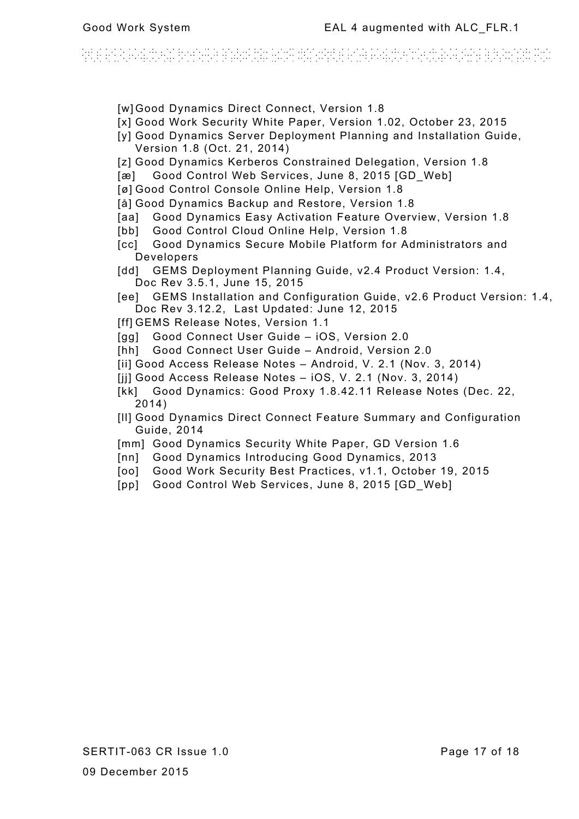# antara a comunicación de comunicación de comunicación de comunicación de comunicación de la propiación de la c<br>A comunicación de comunicación de la comunicación de la comunicación de la comunicación de la comunicación de

- [w] Good Dynamics Direct Connect, Version 1.8
- [x] Good Work Security White Paper, Version 1.02, October 23, 2015
- [v] Good Dynamics Server Deployment Planning and Installation Guide, Version 1.8 (Oct. 21, 2014)
- [z] Good Dynamics Kerberos Constrained Delegation, Version 1.8
- [æ] Good Control Web Services, June 8, 2015 [GD\_Web]
- [ø] Good Control Console Online Help, Version 1.8
- [å] Good Dynamics Backup and Restore, Version 1.8
- [aa] Good Dynamics Easy Activation Feature Overview, Version 1.8
- [bb] Good Control Cloud Online Help, Version 1.8
- [cc] Good Dynamics Secure Mobile Platform for Administrators and Developers
- [dd] GEMS Deployment Planning Guide, v2.4 Product Version: 1.4, Doc Rev 3.5.1, June 15, 2015
- [ee] GEMS Installation and Configuration Guide, v2.6 Product Version: 1.4, Doc Rev 3.12.2, Last Updated: June 12, 2015
- [ff] GEMS Release Notes, Version 1.1
- [gg] Good Connect User Guide iOS, Version 2.0
- [hh] Good Connect User Guide Android, Version 2.0
- [ii] Good Access Release Notes Android, V. 2.1 (Nov. 3, 2014)
- [ji] Good Access Release Notes iOS, V. 2.1 (Nov. 3, 2014)
- [kk] Good Dynamics: Good Proxy 1.8.42.11 Release Notes (Dec. 22, 2014)
- [ll] Good Dynamics Direct Connect Feature Summary and Configuration Guide, 2014
- [mm] Good Dynamics Security White Paper, GD Version 1.6
- [nn] Good Dynamics Introducing Good Dynamics, 2013
- [oo] Good Work Security Best Practices, v1.1, October 19, 2015
- [pp] Good Control Web Services, June 8, 2015 [GD\_Web]